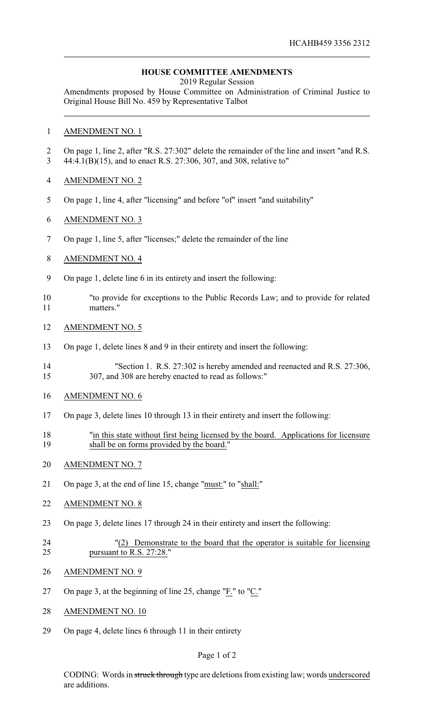## **HOUSE COMMITTEE AMENDMENTS**

2019 Regular Session

Amendments proposed by House Committee on Administration of Criminal Justice to Original House Bill No. 459 by Representative Talbot

## AMENDMENT NO. 1

- On page 1, line 2, after "R.S. 27:302" delete the remainder of the line and insert "and R.S. 44:4.1(B)(15), and to enact R.S. 27:306, 307, and 308, relative to"
- AMENDMENT NO. 2
- On page 1, line 4, after "licensing" and before "of" insert "and suitability"
- AMENDMENT NO. 3
- On page 1, line 5, after "licenses;" delete the remainder of the line
- AMENDMENT NO. 4
- On page 1, delete line 6 in its entirety and insert the following:
- "to provide for exceptions to the Public Records Law; and to provide for related matters."
- AMENDMENT NO. 5
- On page 1, delete lines 8 and 9 in their entirety and insert the following:
- "Section 1. R.S. 27:302 is hereby amended and reenacted and R.S. 27:306, 307, and 308 are hereby enacted to read as follows:"
- AMENDMENT NO. 6
- On page 3, delete lines 10 through 13 in their entirety and insert the following:
- "in this state without first being licensed by the board. Applications for licensure 19 shall be on forms provided by the board."
- AMENDMENT NO. 7
- On page 3, at the end of line 15, change "must:" to "shall:"
- AMENDMENT NO. 8
- On page 3, delete lines 17 through 24 in their entirety and insert the following:
- "(2) Demonstrate to the board that the operator is suitable for licensing pursuant to R.S. 27:28."
- AMENDMENT NO. 9
- 27 On page 3, at the beginning of line 25, change " $\overline{F}$ ." to " $\overline{C}$ ."
- AMENDMENT NO. 10
- On page 4, delete lines 6 through 11 in their entirety

## Page 1 of 2

CODING: Words in struck through type are deletions from existing law; words underscored are additions.